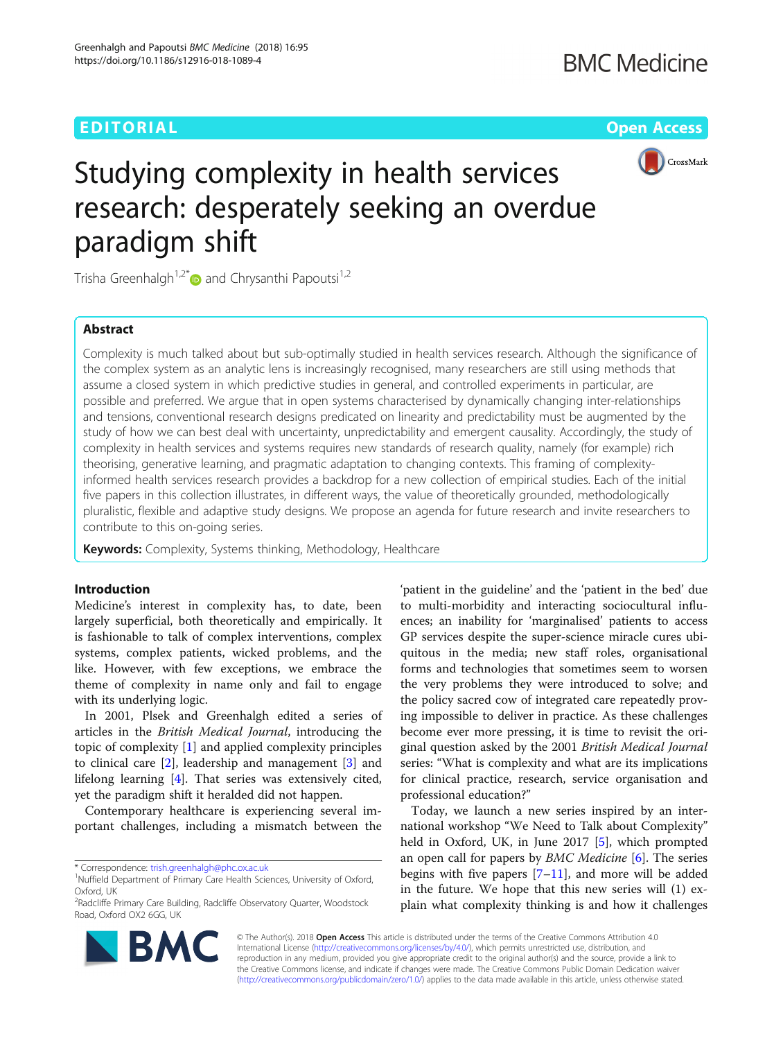## EDITORIAL AND Open Access to the contract of the contract of the contract of the contract of the contract of the contract of the contract of the contract of the contract of the contract of the contract of the contract of t



# Studying complexity in health services research: desperately seeking an overdue paradigm shift

Trisha Greenhalgh<sup>1,2[\\*](http://orcid.org/0000-0003-2369-8088)</sup> and Chrysanthi Papoutsi<sup>1,2</sup>

## Abstract

Complexity is much talked about but sub-optimally studied in health services research. Although the significance of the complex system as an analytic lens is increasingly recognised, many researchers are still using methods that assume a closed system in which predictive studies in general, and controlled experiments in particular, are possible and preferred. We argue that in open systems characterised by dynamically changing inter-relationships and tensions, conventional research designs predicated on linearity and predictability must be augmented by the study of how we can best deal with uncertainty, unpredictability and emergent causality. Accordingly, the study of complexity in health services and systems requires new standards of research quality, namely (for example) rich theorising, generative learning, and pragmatic adaptation to changing contexts. This framing of complexityinformed health services research provides a backdrop for a new collection of empirical studies. Each of the initial five papers in this collection illustrates, in different ways, the value of theoretically grounded, methodologically pluralistic, flexible and adaptive study designs. We propose an agenda for future research and invite researchers to contribute to this on-going series.

Keywords: Complexity, Systems thinking, Methodology, Healthcare

## Introduction

Medicine's interest in complexity has, to date, been largely superficial, both theoretically and empirically. It is fashionable to talk of complex interventions, complex systems, complex patients, wicked problems, and the like. However, with few exceptions, we embrace the theme of complexity in name only and fail to engage with its underlying logic.

In 2001, Plsek and Greenhalgh edited a series of articles in the British Medical Journal, introducing the topic of complexity [[1\]](#page-4-0) and applied complexity principles to clinical care [\[2](#page-4-0)], leadership and management [[3](#page-4-0)] and lifelong learning [[4\]](#page-4-0). That series was extensively cited, yet the paradigm shift it heralded did not happen.

Contemporary healthcare is experiencing several important challenges, including a mismatch between the

'patient in the guideline' and the 'patient in the bed' due to multi-morbidity and interacting sociocultural influences; an inability for 'marginalised' patients to access GP services despite the super-science miracle cures ubiquitous in the media; new staff roles, organisational forms and technologies that sometimes seem to worsen the very problems they were introduced to solve; and the policy sacred cow of integrated care repeatedly proving impossible to deliver in practice. As these challenges become ever more pressing, it is time to revisit the original question asked by the 2001 British Medical Journal series: "What is complexity and what are its implications for clinical practice, research, service organisation and professional education?"

Today, we launch a new series inspired by an international workshop "We Need to Talk about Complexity" held in Oxford, UK, in June 2017 [\[5](#page-4-0)], which prompted an open call for papers by BMC Medicine [\[6](#page-4-0)]. The series begins with five papers  $[7-11]$  $[7-11]$  $[7-11]$ , and more will be added in the future. We hope that this new series will (1) explain what complexity thinking is and how it challenges



© The Author(s). 2018 Open Access This article is distributed under the terms of the Creative Commons Attribution 4.0 International License [\(http://creativecommons.org/licenses/by/4.0/](http://creativecommons.org/licenses/by/4.0/)), which permits unrestricted use, distribution, and reproduction in any medium, provided you give appropriate credit to the original author(s) and the source, provide a link to the Creative Commons license, and indicate if changes were made. The Creative Commons Public Domain Dedication waiver [\(http://creativecommons.org/publicdomain/zero/1.0/](http://creativecommons.org/publicdomain/zero/1.0/)) applies to the data made available in this article, unless otherwise stated.

<sup>\*</sup> Correspondence: [trish.greenhalgh@phc.ox.ac.uk](mailto:trish.greenhalgh@phc.ox.ac.uk) <sup>1</sup>

<sup>&</sup>lt;sup>1</sup>Nuffield Department of Primary Care Health Sciences, University of Oxford, Oxford, UK

<sup>&</sup>lt;sup>2</sup>Radcliffe Primary Care Building, Radcliffe Observatory Quarter, Woodstock Road, Oxford OX2 6GG, UK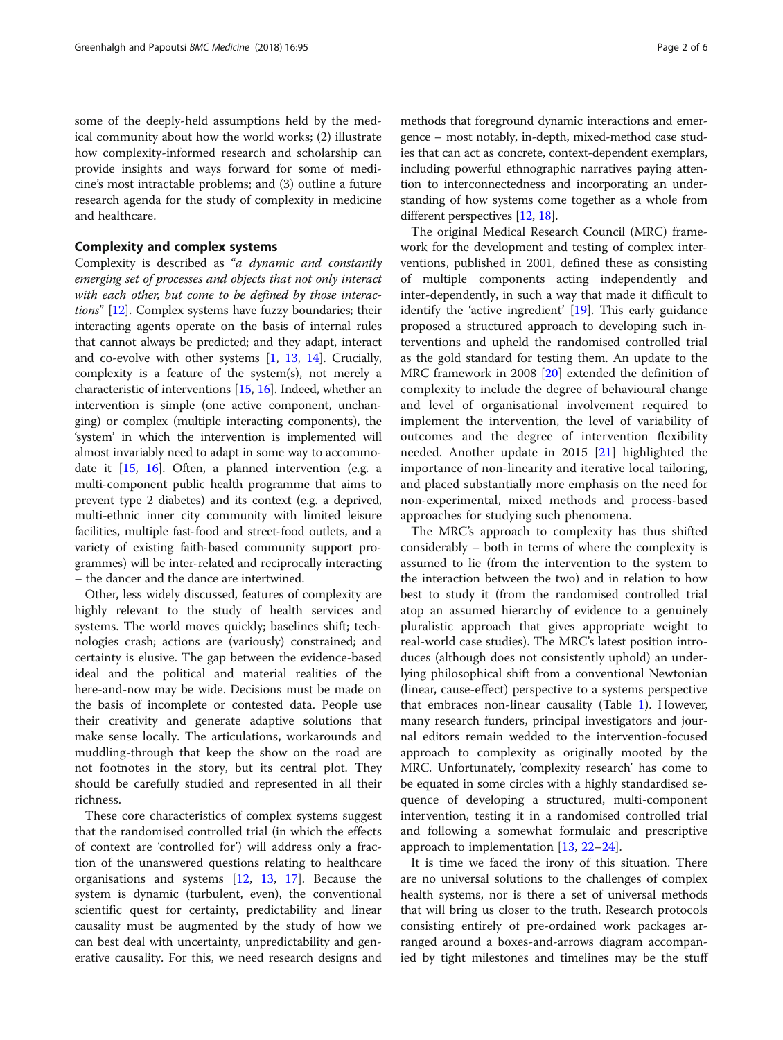some of the deeply-held assumptions held by the medical community about how the world works; (2) illustrate how complexity-informed research and scholarship can provide insights and ways forward for some of medicine's most intractable problems; and (3) outline a future research agenda for the study of complexity in medicine and healthcare.

## Complexity and complex systems

Complexity is described as "a dynamic and constantly emerging set of processes and objects that not only interact with each other, but come to be defined by those interactions" [\[12](#page-4-0)]. Complex systems have fuzzy boundaries; their interacting agents operate on the basis of internal rules that cannot always be predicted; and they adapt, interact and co-evolve with other systems [\[1](#page-4-0), [13,](#page-4-0) [14\]](#page-4-0). Crucially, complexity is a feature of the system(s), not merely a characteristic of interventions [[15](#page-4-0), [16\]](#page-4-0). Indeed, whether an intervention is simple (one active component, unchanging) or complex (multiple interacting components), the 'system' in which the intervention is implemented will almost invariably need to adapt in some way to accommodate it [\[15](#page-4-0), [16](#page-4-0)]. Often, a planned intervention (e.g. a multi-component public health programme that aims to prevent type 2 diabetes) and its context (e.g. a deprived, multi-ethnic inner city community with limited leisure facilities, multiple fast-food and street-food outlets, and a variety of existing faith-based community support programmes) will be inter-related and reciprocally interacting – the dancer and the dance are intertwined.

Other, less widely discussed, features of complexity are highly relevant to the study of health services and systems. The world moves quickly; baselines shift; technologies crash; actions are (variously) constrained; and certainty is elusive. The gap between the evidence-based ideal and the political and material realities of the here-and-now may be wide. Decisions must be made on the basis of incomplete or contested data. People use their creativity and generate adaptive solutions that make sense locally. The articulations, workarounds and muddling-through that keep the show on the road are not footnotes in the story, but its central plot. They should be carefully studied and represented in all their richness.

These core characteristics of complex systems suggest that the randomised controlled trial (in which the effects of context are 'controlled for') will address only a fraction of the unanswered questions relating to healthcare organisations and systems [[12,](#page-4-0) [13](#page-4-0), [17\]](#page-4-0). Because the system is dynamic (turbulent, even), the conventional scientific quest for certainty, predictability and linear causality must be augmented by the study of how we can best deal with uncertainty, unpredictability and generative causality. For this, we need research designs and

methods that foreground dynamic interactions and emergence – most notably, in-depth, mixed-method case studies that can act as concrete, context-dependent exemplars, including powerful ethnographic narratives paying attention to interconnectedness and incorporating an understanding of how systems come together as a whole from different perspectives [\[12](#page-4-0), [18](#page-4-0)].

The original Medical Research Council (MRC) framework for the development and testing of complex interventions, published in 2001, defined these as consisting of multiple components acting independently and inter-dependently, in such a way that made it difficult to identify the 'active ingredient' [[19\]](#page-5-0). This early guidance proposed a structured approach to developing such interventions and upheld the randomised controlled trial as the gold standard for testing them. An update to the MRC framework in 2008 [[20\]](#page-5-0) extended the definition of complexity to include the degree of behavioural change and level of organisational involvement required to implement the intervention, the level of variability of outcomes and the degree of intervention flexibility needed. Another update in 2015 [[21\]](#page-5-0) highlighted the importance of non-linearity and iterative local tailoring, and placed substantially more emphasis on the need for non-experimental, mixed methods and process-based approaches for studying such phenomena.

The MRC's approach to complexity has thus shifted considerably – both in terms of where the complexity is assumed to lie (from the intervention to the system to the interaction between the two) and in relation to how best to study it (from the randomised controlled trial atop an assumed hierarchy of evidence to a genuinely pluralistic approach that gives appropriate weight to real-world case studies). The MRC's latest position introduces (although does not consistently uphold) an underlying philosophical shift from a conventional Newtonian (linear, cause-effect) perspective to a systems perspective that embraces non-linear causality (Table [1\)](#page-2-0). However, many research funders, principal investigators and journal editors remain wedded to the intervention-focused approach to complexity as originally mooted by the MRC. Unfortunately, 'complexity research' has come to be equated in some circles with a highly standardised sequence of developing a structured, multi-component intervention, testing it in a randomised controlled trial and following a somewhat formulaic and prescriptive approach to implementation [\[13](#page-4-0), [22](#page-5-0)–[24\]](#page-5-0).

It is time we faced the irony of this situation. There are no universal solutions to the challenges of complex health systems, nor is there a set of universal methods that will bring us closer to the truth. Research protocols consisting entirely of pre-ordained work packages arranged around a boxes-and-arrows diagram accompanied by tight milestones and timelines may be the stuff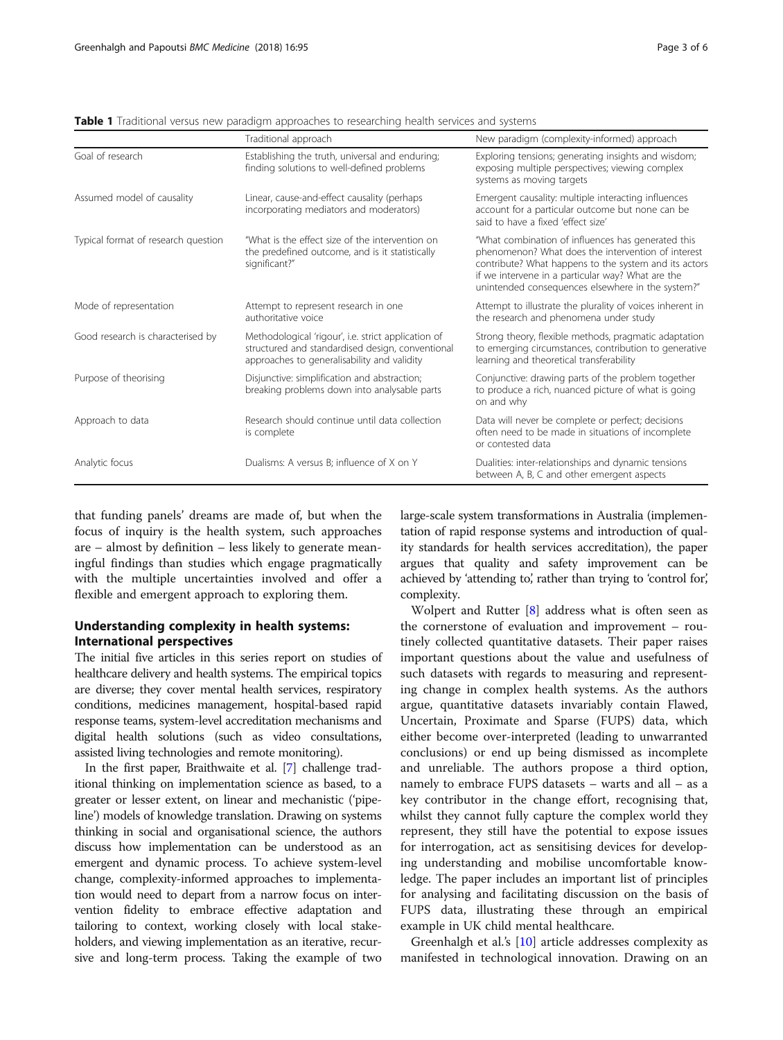|                                     | Traditional approach                                                                                                                                   | New paradigm (complexity-informed) approach                                                                                                                                                                                                                                 |
|-------------------------------------|--------------------------------------------------------------------------------------------------------------------------------------------------------|-----------------------------------------------------------------------------------------------------------------------------------------------------------------------------------------------------------------------------------------------------------------------------|
| Goal of research                    | Establishing the truth, universal and enduring;<br>finding solutions to well-defined problems                                                          | Exploring tensions; generating insights and wisdom;<br>exposing multiple perspectives; viewing complex<br>systems as moving targets                                                                                                                                         |
| Assumed model of causality          | Linear, cause-and-effect causality (perhaps<br>incorporating mediators and moderators)                                                                 | Emergent causality: multiple interacting influences<br>account for a particular outcome but none can be<br>said to have a fixed 'effect size'                                                                                                                               |
| Typical format of research question | "What is the effect size of the intervention on<br>the predefined outcome, and is it statistically<br>significant?"                                    | "What combination of influences has generated this<br>phenomenon? What does the intervention of interest<br>contribute? What happens to the system and its actors<br>if we intervene in a particular way? What are the<br>unintended consequences elsewhere in the system?" |
| Mode of representation              | Attempt to represent research in one<br>authoritative voice                                                                                            | Attempt to illustrate the plurality of voices inherent in<br>the research and phenomena under study                                                                                                                                                                         |
| Good research is characterised by   | Methodological 'rigour', i.e. strict application of<br>structured and standardised design, conventional<br>approaches to generalisability and validity | Strong theory, flexible methods, pragmatic adaptation<br>to emerging circumstances, contribution to generative<br>learning and theoretical transferability                                                                                                                  |
| Purpose of theorising               | Disjunctive: simplification and abstraction;<br>breaking problems down into analysable parts                                                           | Conjunctive: drawing parts of the problem together<br>to produce a rich, nuanced picture of what is going<br>on and why                                                                                                                                                     |
| Approach to data                    | Research should continue until data collection<br>is complete                                                                                          | Data will never be complete or perfect; decisions<br>often need to be made in situations of incomplete<br>or contested data                                                                                                                                                 |
| Analytic focus                      | Dualisms: A versus B; influence of X on Y                                                                                                              | Dualities: inter-relationships and dynamic tensions<br>between A, B, C and other emergent aspects                                                                                                                                                                           |

<span id="page-2-0"></span>**Table 1** Traditional versus new paradigm approaches to researching health services and systems

that funding panels' dreams are made of, but when the focus of inquiry is the health system, such approaches are – almost by definition – less likely to generate meaningful findings than studies which engage pragmatically with the multiple uncertainties involved and offer a flexible and emergent approach to exploring them.

## Understanding complexity in health systems: International perspectives

The initial five articles in this series report on studies of healthcare delivery and health systems. The empirical topics are diverse; they cover mental health services, respiratory conditions, medicines management, hospital-based rapid response teams, system-level accreditation mechanisms and digital health solutions (such as video consultations, assisted living technologies and remote monitoring).

In the first paper, Braithwaite et al. [\[7\]](#page-4-0) challenge traditional thinking on implementation science as based, to a greater or lesser extent, on linear and mechanistic ('pipeline') models of knowledge translation. Drawing on systems thinking in social and organisational science, the authors discuss how implementation can be understood as an emergent and dynamic process. To achieve system-level change, complexity-informed approaches to implementation would need to depart from a narrow focus on intervention fidelity to embrace effective adaptation and tailoring to context, working closely with local stakeholders, and viewing implementation as an iterative, recursive and long-term process. Taking the example of two large-scale system transformations in Australia (implementation of rapid response systems and introduction of quality standards for health services accreditation), the paper argues that quality and safety improvement can be achieved by 'attending to' rather than trying to 'control for', complexity.

Wolpert and Rutter [[8\]](#page-4-0) address what is often seen as the cornerstone of evaluation and improvement – routinely collected quantitative datasets. Their paper raises important questions about the value and usefulness of such datasets with regards to measuring and representing change in complex health systems. As the authors argue, quantitative datasets invariably contain Flawed, Uncertain, Proximate and Sparse (FUPS) data, which either become over-interpreted (leading to unwarranted conclusions) or end up being dismissed as incomplete and unreliable. The authors propose a third option, namely to embrace FUPS datasets – warts and all – as a key contributor in the change effort, recognising that, whilst they cannot fully capture the complex world they represent, they still have the potential to expose issues for interrogation, act as sensitising devices for developing understanding and mobilise uncomfortable knowledge. The paper includes an important list of principles for analysing and facilitating discussion on the basis of FUPS data, illustrating these through an empirical example in UK child mental healthcare.

Greenhalgh et al.'s [\[10](#page-4-0)] article addresses complexity as manifested in technological innovation. Drawing on an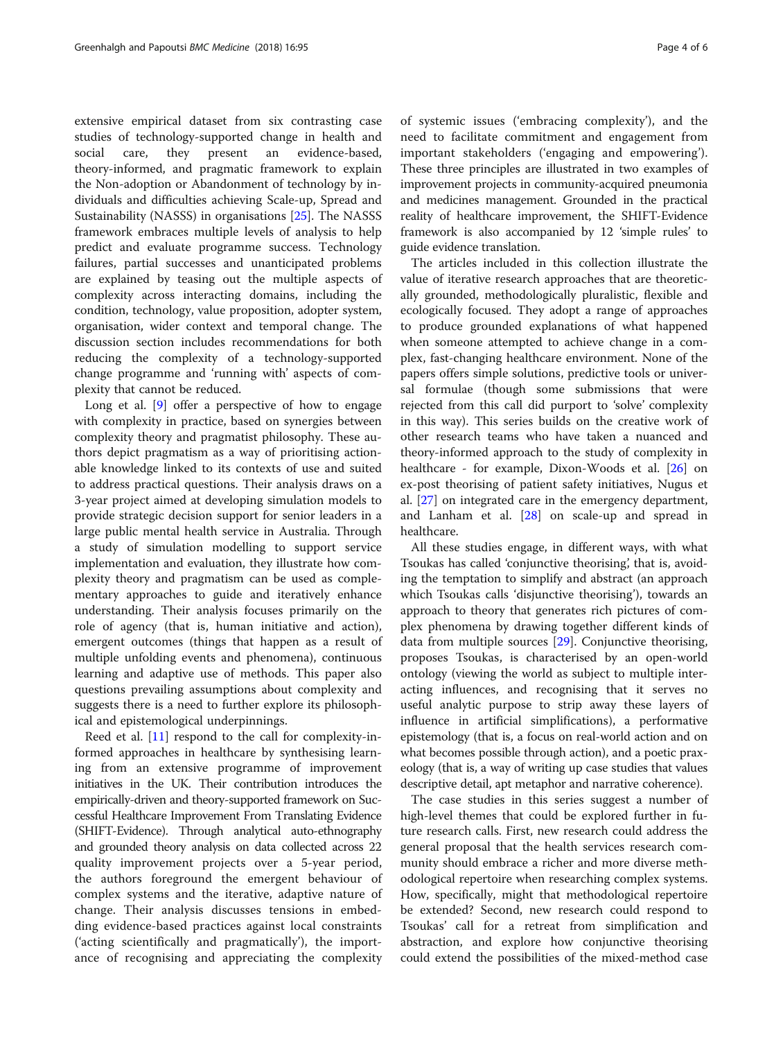extensive empirical dataset from six contrasting case studies of technology-supported change in health and social care, they present an evidence-based, theory-informed, and pragmatic framework to explain the Non-adoption or Abandonment of technology by individuals and difficulties achieving Scale-up, Spread and Sustainability (NASSS) in organisations [[25\]](#page-5-0). The NASSS framework embraces multiple levels of analysis to help predict and evaluate programme success. Technology failures, partial successes and unanticipated problems are explained by teasing out the multiple aspects of complexity across interacting domains, including the condition, technology, value proposition, adopter system, organisation, wider context and temporal change. The discussion section includes recommendations for both reducing the complexity of a technology-supported change programme and 'running with' aspects of complexity that cannot be reduced.

Long et al.  $[9]$  $[9]$  offer a perspective of how to engage with complexity in practice, based on synergies between complexity theory and pragmatist philosophy. These authors depict pragmatism as a way of prioritising actionable knowledge linked to its contexts of use and suited to address practical questions. Their analysis draws on a 3-year project aimed at developing simulation models to provide strategic decision support for senior leaders in a large public mental health service in Australia. Through a study of simulation modelling to support service implementation and evaluation, they illustrate how complexity theory and pragmatism can be used as complementary approaches to guide and iteratively enhance understanding. Their analysis focuses primarily on the role of agency (that is, human initiative and action), emergent outcomes (things that happen as a result of multiple unfolding events and phenomena), continuous learning and adaptive use of methods. This paper also questions prevailing assumptions about complexity and suggests there is a need to further explore its philosophical and epistemological underpinnings.

Reed et al. [[11\]](#page-4-0) respond to the call for complexity-informed approaches in healthcare by synthesising learning from an extensive programme of improvement initiatives in the UK. Their contribution introduces the empirically-driven and theory-supported framework on Successful Healthcare Improvement From Translating Evidence (SHIFT-Evidence). Through analytical auto-ethnography and grounded theory analysis on data collected across 22 quality improvement projects over a 5-year period, the authors foreground the emergent behaviour of complex systems and the iterative, adaptive nature of change. Their analysis discusses tensions in embedding evidence-based practices against local constraints ('acting scientifically and pragmatically'), the importance of recognising and appreciating the complexity

of systemic issues ('embracing complexity'), and the need to facilitate commitment and engagement from important stakeholders ('engaging and empowering'). These three principles are illustrated in two examples of improvement projects in community-acquired pneumonia and medicines management. Grounded in the practical reality of healthcare improvement, the SHIFT-Evidence framework is also accompanied by 12 'simple rules' to guide evidence translation.

The articles included in this collection illustrate the value of iterative research approaches that are theoretically grounded, methodologically pluralistic, flexible and ecologically focused. They adopt a range of approaches to produce grounded explanations of what happened when someone attempted to achieve change in a complex, fast-changing healthcare environment. None of the papers offers simple solutions, predictive tools or universal formulae (though some submissions that were rejected from this call did purport to 'solve' complexity in this way). This series builds on the creative work of other research teams who have taken a nuanced and theory-informed approach to the study of complexity in healthcare - for example, Dixon-Woods et al. [\[26\]](#page-5-0) on ex-post theorising of patient safety initiatives, Nugus et al. [\[27](#page-5-0)] on integrated care in the emergency department, and Lanham et al. [\[28\]](#page-5-0) on scale-up and spread in healthcare.

All these studies engage, in different ways, with what Tsoukas has called 'conjunctive theorising', that is, avoiding the temptation to simplify and abstract (an approach which Tsoukas calls 'disjunctive theorising'), towards an approach to theory that generates rich pictures of complex phenomena by drawing together different kinds of data from multiple sources [[29\]](#page-5-0). Conjunctive theorising, proposes Tsoukas, is characterised by an open-world ontology (viewing the world as subject to multiple interacting influences, and recognising that it serves no useful analytic purpose to strip away these layers of influence in artificial simplifications), a performative epistemology (that is, a focus on real-world action and on what becomes possible through action), and a poetic praxeology (that is, a way of writing up case studies that values descriptive detail, apt metaphor and narrative coherence).

The case studies in this series suggest a number of high-level themes that could be explored further in future research calls. First, new research could address the general proposal that the health services research community should embrace a richer and more diverse methodological repertoire when researching complex systems. How, specifically, might that methodological repertoire be extended? Second, new research could respond to Tsoukas' call for a retreat from simplification and abstraction, and explore how conjunctive theorising could extend the possibilities of the mixed-method case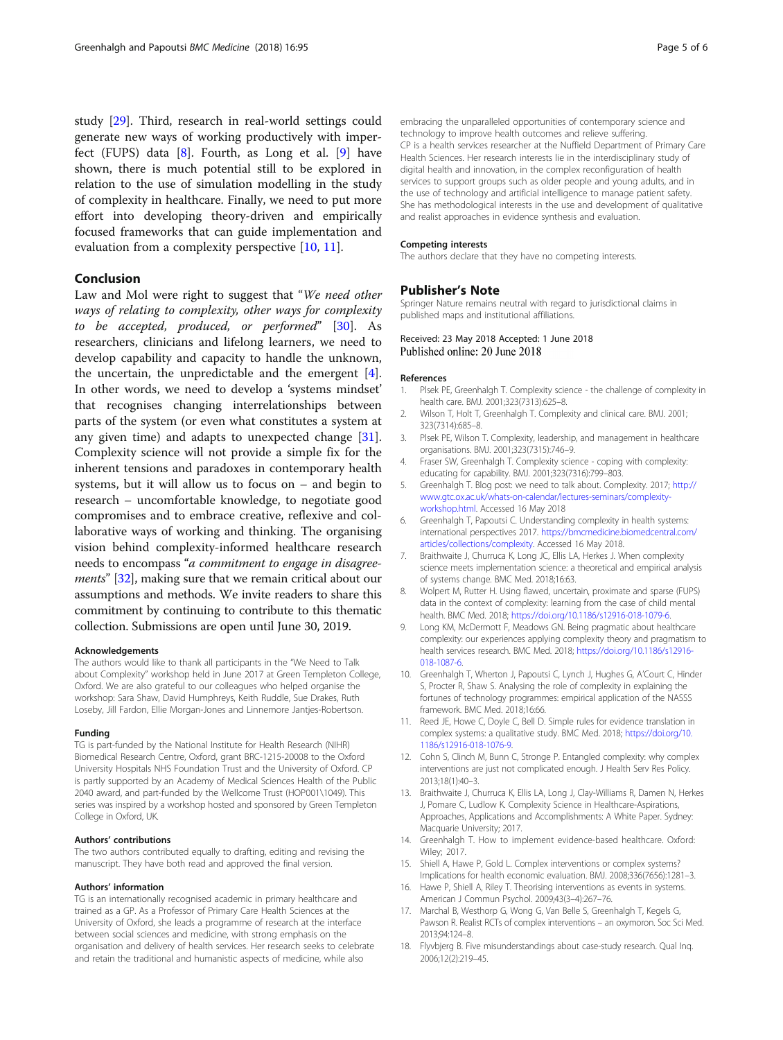<span id="page-4-0"></span>study [\[29\]](#page-5-0). Third, research in real-world settings could generate new ways of working productively with imperfect (FUPS) data [8]. Fourth, as Long et al. [9] have shown, there is much potential still to be explored in relation to the use of simulation modelling in the study of complexity in healthcare. Finally, we need to put more effort into developing theory-driven and empirically focused frameworks that can guide implementation and evaluation from a complexity perspective [10, 11].

## Conclusion

Law and Mol were right to suggest that "We need other ways of relating to complexity, other ways for complexity to be accepted, produced, or performed" [\[30](#page-5-0)]. As researchers, clinicians and lifelong learners, we need to develop capability and capacity to handle the unknown, the uncertain, the unpredictable and the emergent [4]. In other words, we need to develop a 'systems mindset' that recognises changing interrelationships between parts of the system (or even what constitutes a system at any given time) and adapts to unexpected change [\[31](#page-5-0)]. Complexity science will not provide a simple fix for the inherent tensions and paradoxes in contemporary health systems, but it will allow us to focus on – and begin to research – uncomfortable knowledge, to negotiate good compromises and to embrace creative, reflexive and collaborative ways of working and thinking. The organising vision behind complexity-informed healthcare research needs to encompass "a commitment to engage in disagree-ments" [[32](#page-5-0)], making sure that we remain critical about our assumptions and methods. We invite readers to share this commitment by continuing to contribute to this thematic collection. Submissions are open until June 30, 2019.

#### Acknowledgements

The authors would like to thank all participants in the "We Need to Talk about Complexity" workshop held in June 2017 at Green Templeton College, Oxford. We are also grateful to our colleagues who helped organise the workshop: Sara Shaw, David Humphreys, Keith Ruddle, Sue Drakes, Ruth Loseby, Jill Fardon, Ellie Morgan-Jones and Linnemore Jantjes-Robertson.

#### Funding

TG is part-funded by the National Institute for Health Research (NIHR) Biomedical Research Centre, Oxford, grant BRC-1215-20008 to the Oxford University Hospitals NHS Foundation Trust and the University of Oxford. CP is partly supported by an Academy of Medical Sciences Health of the Public 2040 award, and part-funded by the Wellcome Trust (HOP001\1049). This series was inspired by a workshop hosted and sponsored by Green Templeton College in Oxford, UK.

#### Authors' contributions

The two authors contributed equally to drafting, editing and revising the manuscript. They have both read and approved the final version.

#### Authors' information

TG is an internationally recognised academic in primary healthcare and trained as a GP. As a Professor of Primary Care Health Sciences at the University of Oxford, she leads a programme of research at the interface between social sciences and medicine, with strong emphasis on the organisation and delivery of health services. Her research seeks to celebrate and retain the traditional and humanistic aspects of medicine, while also

embracing the unparalleled opportunities of contemporary science and technology to improve health outcomes and relieve suffering. CP is a health services researcher at the Nuffield Department of Primary Care Health Sciences. Her research interests lie in the interdisciplinary study of digital health and innovation, in the complex reconfiguration of health services to support groups such as older people and young adults, and in the use of technology and artificial intelligence to manage patient safety. She has methodological interests in the use and development of qualitative and realist approaches in evidence synthesis and evaluation.

#### Competing interests

The authors declare that they have no competing interests.

### Publisher's Note

Springer Nature remains neutral with regard to jurisdictional claims in published maps and institutional affiliations.

### Received: 23 May 2018 Accepted: 1 June 2018 Published online: 20 June 2018

#### References

- 1. Plsek PE, Greenhalgh T. Complexity science the challenge of complexity in health care. BMJ. 2001;323(7313):625–8.
- 2. Wilson T, Holt T, Greenhalgh T. Complexity and clinical care. BMJ. 2001; 323(7314):685–8.
- 3. Plsek PE, Wilson T. Complexity, leadership, and management in healthcare organisations. BMJ. 2001;323(7315):746–9.
- 4. Fraser SW, Greenhalgh T. Complexity science coping with complexity: educating for capability. BMJ. 2001;323(7316):799–803.
- 5. Greenhalgh T. Blog post: we need to talk about. Complexity. 2017; [http://](http://www.gtc.ox.ac.uk/whats-on-calendar/lectures-seminars/complexity-workshop.html) [www.gtc.ox.ac.uk/whats-on-calendar/lectures-seminars/complexity](http://www.gtc.ox.ac.uk/whats-on-calendar/lectures-seminars/complexity-workshop.html)[workshop.html](http://www.gtc.ox.ac.uk/whats-on-calendar/lectures-seminars/complexity-workshop.html). Accessed 16 May 2018
- 6. Greenhalgh T, Papoutsi C. Understanding complexity in health systems: international perspectives 2017. [https://bmcmedicine.biomedcentral.com/](https://bmcmedicine.biomedcentral.com/articles/collections/complexity) [articles/collections/complexity.](https://bmcmedicine.biomedcentral.com/articles/collections/complexity) Accessed 16 May 2018.
- 7. Braithwaite J, Churruca K, Long JC, Ellis LA, Herkes J. When complexity science meets implementation science: a theoretical and empirical analysis of systems change. BMC Med. 2018;16:63.
- 8. Wolpert M, Rutter H. Using flawed, uncertain, proximate and sparse (FUPS) data in the context of complexity: learning from the case of child mental health. BMC Med. 2018; <https://doi.org/10.1186/s12916-018-1079-6>.
- 9. Long KM, McDermott F, Meadows GN. Being pragmatic about healthcare complexity: our experiences applying complexity theory and pragmatism to health services research. BMC Med. 2018; [https://doi.org/10.1186/s12916-](https://doi.org/10.1186/s12916-018-1087-6) [018-1087-6](https://doi.org/10.1186/s12916-018-1087-6).
- 10. Greenhalgh T, Wherton J, Papoutsi C, Lynch J, Hughes G, A'Court C, Hinder S, Procter R, Shaw S. Analysing the role of complexity in explaining the fortunes of technology programmes: empirical application of the NASSS framework. BMC Med. 2018;16:66.
- 11. Reed JE, Howe C, Doyle C, Bell D. Simple rules for evidence translation in complex systems: a qualitative study. BMC Med. 2018; [https://doi.org/10.](https://doi.org/10.1186/s12916-018-1076-9) [1186/s12916-018-1076-9](https://doi.org/10.1186/s12916-018-1076-9).
- 12. Cohn S, Clinch M, Bunn C, Stronge P. Entangled complexity: why complex interventions are just not complicated enough. J Health Serv Res Policy. 2013;18(1):40–3.
- 13. Braithwaite J, Churruca K, Ellis LA, Long J, Clay-Williams R, Damen N, Herkes J, Pomare C, Ludlow K. Complexity Science in Healthcare-Aspirations, Approaches, Applications and Accomplishments: A White Paper. Sydney: Macquarie University; 2017.
- 14. Greenhalgh T. How to implement evidence-based healthcare. Oxford: Wiley; 2017.
- 15. Shiell A, Hawe P, Gold L. Complex interventions or complex systems? Implications for health economic evaluation. BMJ. 2008;336(7656):1281–3.
- 16. Hawe P, Shiell A, Riley T. Theorising interventions as events in systems. American J Commun Psychol. 2009;43(3–4):267–76.
- 17. Marchal B, Westhorp G, Wong G, Van Belle S, Greenhalgh T, Kegels G, Pawson R. Realist RCTs of complex interventions – an oxymoron. Soc Sci Med. 2013;94:124–8.
- 18. Flyvbjerg B. Five misunderstandings about case-study research. Qual Inq. 2006;12(2):219–45.